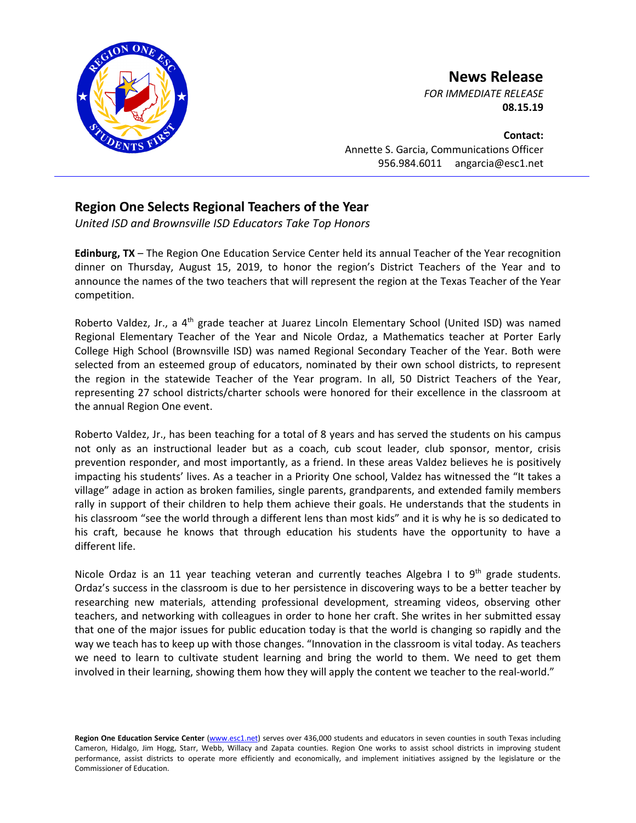

**News Release**

*FOR IMMEDIATE RELEASE* **08.15.19**

**Contact:** Annette S. Garcia, Communications Officer 956.984.6011 angarcia@esc1.net

## **Region One Selects Regional Teachers of the Year**

*United ISD and Brownsville ISD Educators Take Top Honors*

**Edinburg, TX** – The Region One Education Service Center held its annual Teacher of the Year recognition dinner on Thursday, August 15, 2019, to honor the region's District Teachers of the Year and to announce the names of the two teachers that will represent the region at the Texas Teacher of the Year competition.

Roberto Valdez, Jr., a 4<sup>th</sup> grade teacher at Juarez Lincoln Elementary School (United ISD) was named Regional Elementary Teacher of the Year and Nicole Ordaz, a Mathematics teacher at Porter Early College High School (Brownsville ISD) was named Regional Secondary Teacher of the Year. Both were selected from an esteemed group of educators, nominated by their own school districts, to represent the region in the statewide Teacher of the Year program. In all, 50 District Teachers of the Year, representing 27 school districts/charter schools were honored for their excellence in the classroom at the annual Region One event.

Roberto Valdez, Jr., has been teaching for a total of 8 years and has served the students on his campus not only as an instructional leader but as a coach, cub scout leader, club sponsor, mentor, crisis prevention responder, and most importantly, as a friend. In these areas Valdez believes he is positively impacting his students' lives. As a teacher in a Priority One school, Valdez has witnessed the "It takes a village" adage in action as broken families, single parents, grandparents, and extended family members rally in support of their children to help them achieve their goals. He understands that the students in his classroom "see the world through a different lens than most kids" and it is why he is so dedicated to his craft, because he knows that through education his students have the opportunity to have a different life.

Nicole Ordaz is an 11 year teaching veteran and currently teaches Algebra I to  $9<sup>th</sup>$  grade students. Ordaz's success in the classroom is due to her persistence in discovering ways to be a better teacher by researching new materials, attending professional development, streaming videos, observing other teachers, and networking with colleagues in order to hone her craft. She writes in her submitted essay that one of the major issues for public education today is that the world is changing so rapidly and the way we teach has to keep up with those changes. "Innovation in the classroom is vital today. As teachers we need to learn to cultivate student learning and bring the world to them. We need to get them involved in their learning, showing them how they will apply the content we teacher to the real-world."

Region One Education Service Center [\(www.esc1.net\)](http://www.esc1.net/) serves over 436,000 students and educators in seven counties in south Texas including Cameron, Hidalgo, Jim Hogg, Starr, Webb, Willacy and Zapata counties. Region One works to assist school districts in improving student performance, assist districts to operate more efficiently and economically, and implement initiatives assigned by the legislature or the Commissioner of Education.